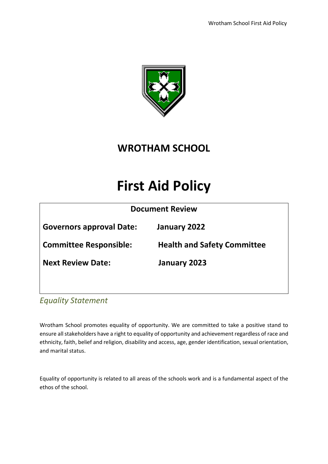

# **WROTHAM SCHOOL**

# **First Aid Policy**

| <b>Document Review</b>          |                                    |  |  |
|---------------------------------|------------------------------------|--|--|
| <b>Governors approval Date:</b> | January 2022                       |  |  |
| <b>Committee Responsible:</b>   | <b>Health and Safety Committee</b> |  |  |
| <b>Next Review Date:</b>        | January 2023                       |  |  |
|                                 |                                    |  |  |

*Equality Statement*

Wrotham School promotes equality of opportunity. We are committed to take a positive stand to ensure all stakeholders have a right to equality of opportunity and achievement regardless of race and ethnicity, faith, belief and religion, disability and access, age, gender identification, sexual orientation, and marital status.

Equality of opportunity is related to all areas of the schools work and is a fundamental aspect of the ethos of the school.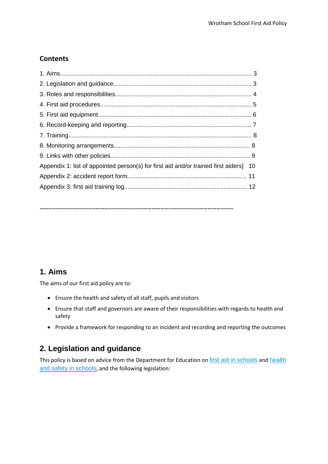# **Contents**

| Appendix 1: list of appointed person(s) for first aid and/or trained first aiders 10 |  |
|--------------------------------------------------------------------------------------|--|
|                                                                                      |  |
|                                                                                      |  |
|                                                                                      |  |

**………………………………………………………………………………………………………………………**

# **1. Aims**

The aims of our first aid policy are to:

- Ensure the health and safety of all staff, pupils and visitors
- Ensure that staff and governors are aware of their responsibilities with regards to health and safety
- Provide a framework for responding to an incident and recording and reporting the outcomes

# **2. Legislation and guidance**

This policy is based on advice from the Department for Education on [first aid in schools](https://www.gov.uk/government/publications/first-aid-in-schools) and health [and safety in schools](https://www.gov.uk/government/publications/health-and-safety-advice-for-schools), and the following legislation: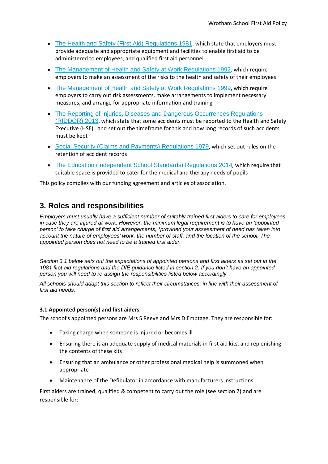- [The Health and Safety \(First Aid\) Regulations 1981](http://www.legislation.gov.uk/uksi/1981/917/regulation/3/made), which state that employers must provide adequate and appropriate equipment and facilities to enable first aid to be administered to employees, and qualified first aid personnel
- [The Management of Health and Safety at Work Regulations 1992](http://www.legislation.gov.uk/uksi/1992/2051/regulation/3/made), which require employers to make an assessment of the risks to the health and safety of their employees
- [The Management of Health and Safety at Work Regulations 1999](http://www.legislation.gov.uk/uksi/1999/3242/contents/made), which require employers to carry out risk assessments, make arrangements to implement necessary measures, and arrange for appropriate information and training
- The Reporting of Injuries, Diseases and Dangerous Occurrences Regulations [\(RIDDOR\) 2013](http://www.legislation.gov.uk/uksi/2013/1471/schedule/1/paragraph/1/made), which state that some accidents must be reported to the Health and Safety Executive (HSE), and set out the timeframe for this and how long records of such accidents must be kept
- [Social Security \(Claims and Payments\) Regulations 1979](http://www.legislation.gov.uk/uksi/1979/628), which set out rules on the retention of accident records
- [The Education \(Independent School Standards\) Regulations 2014](http://www.legislation.gov.uk/uksi/2014/3283/schedule/made), which require that suitable space is provided to cater for the medical and therapy needs of pupils

This policy complies with our funding agreement and articles of association.

# **3. Roles and responsibilities**

*Employers must usually have a sufficient number of suitably trained first aiders to care for employees in case they are injured at work. However, the minimum legal requirement is to have an 'appointed person' to take charge of first aid arrangements, \*provided your assessment of need has taken into account the nature of employees' work, the number of staff, and the location of the school. The appointed person does not need to be a trained first aider.*

*Section 3.1 below sets out the expectations of appointed persons and first aiders as set out in the 1981 first aid regulations and the DfE guidance listed in section 2. If you don't have an appointed person you will need to re-assign the responsibilities listed below accordingly.*

*All schools should adapt this section to reflect their circumstances, in line with their assessment of first aid needs.* 

### **3.1 Appointed person(s) and first aiders**

The school's appointed persons are Mrs S Reeve and Mrs D Emptage. They are responsible for:

- Taking charge when someone is injured or becomes ill
- Ensuring there is an adequate supply of medical materials in first aid kits, and replenishing the contents of these kits
- Ensuring that an ambulance or other professional medical help is summoned when appropriate
- Maintenance of the Defibulator in accordance with manufacturers instructions.

First aiders are trained, qualified & competent to carry out the role (see section 7) and are responsible for: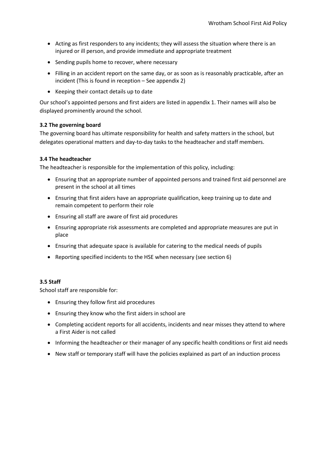- Acting as first responders to any incidents; they will assess the situation where there is an injured or ill person, and provide immediate and appropriate treatment
- Sending pupils home to recover, where necessary
- Filling in an accident report on the same day, or as soon as is reasonably practicable, after an incident (This is found in reception – See appendix 2)
- Keeping their contact details up to date

Our school's appointed persons and first aiders are listed in appendix 1. Their names will also be displayed prominently around the school.

#### **3.2 The governing board**

The governing board has ultimate responsibility for health and safety matters in the school, but delegates operational matters and day-to-day tasks to the headteacher and staff members.

#### **3.4 The headteacher**

The headteacher is responsible for the implementation of this policy, including:

- Ensuring that an appropriate number of appointed persons and trained first aid personnel are present in the school at all times
- Ensuring that first aiders have an appropriate qualification, keep training up to date and remain competent to perform their role
- Ensuring all staff are aware of first aid procedures
- Ensuring appropriate risk assessments are completed and appropriate measures are put in place
- Ensuring that adequate space is available for catering to the medical needs of pupils
- Reporting specified incidents to the HSE when necessary (see section 6)

#### **3.5 Staff**

School staff are responsible for:

- Ensuring they follow first aid procedures
- Ensuring they know who the first aiders in school are
- Completing accident reports for all accidents, incidents and near misses they attend to where a First Aider is not called
- Informing the headteacher or their manager of any specific health conditions or first aid needs
- New staff or temporary staff will have the policies explained as part of an induction process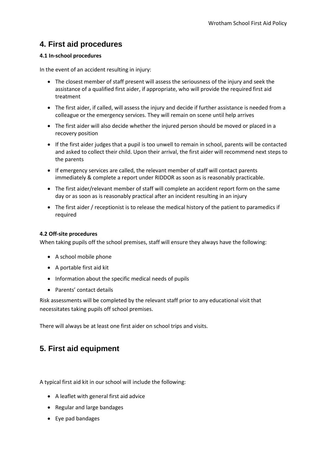# **4. First aid procedures**

### **4.1 In-school procedures**

In the event of an accident resulting in injury:

- The closest member of staff present will assess the seriousness of the injury and seek the assistance of a qualified first aider, if appropriate, who will provide the required first aid treatment
- The first aider, if called, will assess the injury and decide if further assistance is needed from a colleague or the emergency services. They will remain on scene until help arrives
- The first aider will also decide whether the injured person should be moved or placed in a recovery position
- If the first aider judges that a pupil is too unwell to remain in school, parents will be contacted and asked to collect their child. Upon their arrival, the first aider will recommend next steps to the parents
- If emergency services are called, the relevant member of staff will contact parents immediately & complete a report under RIDDOR as soon as is reasonably practicable.
- The first aider/relevant member of staff will complete an accident report form on the same day or as soon as is reasonably practical after an incident resulting in an injury
- The first aider / receptionist is to release the medical history of the patient to paramedics if required

### **4.2 Off-site procedures**

When taking pupils off the school premises, staff will ensure they always have the following:

- A school mobile phone
- A portable first aid kit
- Information about the specific medical needs of pupils
- Parents' contact details

Risk assessments will be completed by the relevant staff prior to any educational visit that necessitates taking pupils off school premises.

There will always be at least one first aider on school trips and visits.

# **5. First aid equipment**

A typical first aid kit in our school will include the following:

- A leaflet with general first aid advice
- Regular and large bandages
- Eye pad bandages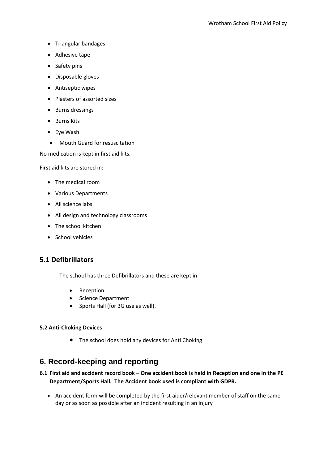- Triangular bandages
- Adhesive tape
- Safety pins
- Disposable gloves
- Antiseptic wipes
- Plasters of assorted sizes
- Burns dressings
- Burns Kits
- Eve Wash
- Mouth Guard for resuscitation

No medication is kept in first aid kits.

First aid kits are stored in:

- The medical room
- Various Departments
- All science labs
- All design and technology classrooms
- The school kitchen
- School vehicles

## **5.1 Defibrillators**

The school has three Defibrillators and these are kept in:

- Reception
- Science Department
- Sports Hall (for 3G use as well).

### **5.2 Anti-Choking Devices**

• The school does hold any devices for Anti Choking

# **6. Record-keeping and reporting**

## **6.1 First aid and accident record book – One accident book is held in Reception and one in the PE Department/Sports Hall. The Accident book used is compliant with GDPR.**

 An accident form will be completed by the first aider/relevant member of staff on the same day or as soon as possible after an incident resulting in an injury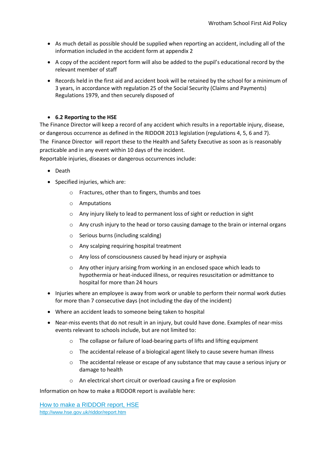- As much detail as possible should be supplied when reporting an accident, including all of the information included in the accident form at appendix 2
- A copy of the accident report form will also be added to the pupil's educational record by the relevant member of staff
- Records held in the first aid and accident book will be retained by the school for a minimum of 3 years, in accordance with regulation 25 of the Social Security (Claims and Payments) Regulations 1979, and then securely disposed of

### **6.2 Reporting to the HSE**

The Finance Director will keep a record of any accident which results in a reportable injury, disease, or dangerous occurrence as defined in the RIDDOR 2013 legislation (regulations 4, 5, 6 and 7). The Finance Director will report these to the Health and Safety Executive as soon as is reasonably practicable and in any event within 10 days of the incident.

Reportable injuries, diseases or dangerous occurrences include:

- Death
- Specified injuries, which are:
	- o Fractures, other than to fingers, thumbs and toes
	- o Amputations
	- o Any injury likely to lead to permanent loss of sight or reduction in sight
	- $\circ$  Any crush injury to the head or torso causing damage to the brain or internal organs
	- o Serious burns (including scalding)
	- o Any scalping requiring hospital treatment
	- o Any loss of consciousness caused by head injury or asphyxia
	- o Any other injury arising from working in an enclosed space which leads to hypothermia or heat-induced illness, or requires resuscitation or admittance to hospital for more than 24 hours
- Injuries where an employee is away from work or unable to perform their normal work duties for more than 7 consecutive days (not including the day of the incident)
- Where an accident leads to someone being taken to hospital
- Near-miss events that do not result in an injury, but could have done. Examples of near-miss events relevant to schools include, but are not limited to:
	- o The collapse or failure of load-bearing parts of lifts and lifting equipment
	- o The accidental release of a biological agent likely to cause severe human illness
	- o The accidental release or escape of any substance that may cause a serious injury or damage to health
	- o An electrical short circuit or overload causing a fire or explosion

Information on how to make a RIDDOR report is available here:

[How to make a RIDDOR report, HSE](http://www.hse.gov.uk/riddor/report.htm) <http://www.hse.gov.uk/riddor/report.htm>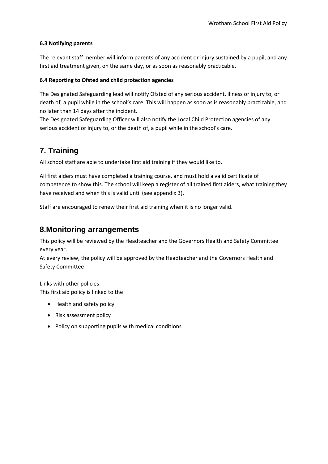#### **6.3 Notifying parents**

The relevant staff member will inform parents of any accident or injury sustained by a pupil, and any first aid treatment given, on the same day, or as soon as reasonably practicable.

#### **6.4 Reporting to Ofsted and child protection agencies**

The Designated Safeguarding lead will notify Ofsted of any serious accident, illness or injury to, or death of, a pupil while in the school's care. This will happen as soon as is reasonably practicable, and no later than 14 days after the incident.

The Designated Safeguarding Officer will also notify the Local Child Protection agencies of any serious accident or injury to, or the death of, a pupil while in the school's care.

# **7. Training**

All school staff are able to undertake first aid training if they would like to.

All first aiders must have completed a training course, and must hold a valid certificate of competence to show this. The school will keep a register of all trained first aiders, what training they have received and when this is valid until (see appendix 3).

Staff are encouraged to renew their first aid training when it is no longer valid.

## **8.Monitoring arrangements**

This policy will be reviewed by the Headteacher and the Governors Health and Safety Committee every year.

At every review, the policy will be approved by the Headteacher and the Governors Health and Safety Committee

Links with other policies This first aid policy is linked to the

- Health and safety policy
- Risk assessment policy
- Policy on supporting pupils with medical conditions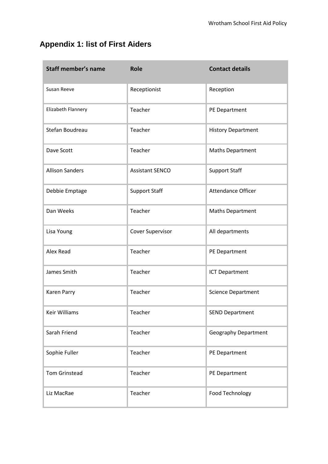# **Appendix 1: list of First Aiders**

| <b>Staff member's name</b> | <b>Role</b>            | <b>Contact details</b>      |
|----------------------------|------------------------|-----------------------------|
| Susan Reeve                | Receptionist           | Reception                   |
| Elizabeth Flannery         | Teacher                | PE Department               |
| Stefan Boudreau            | Teacher                | <b>History Department</b>   |
| Dave Scott                 | Teacher                | <b>Maths Department</b>     |
| <b>Allison Sanders</b>     | <b>Assistant SENCO</b> | <b>Support Staff</b>        |
| Debbie Emptage             | <b>Support Staff</b>   | Attendance Officer          |
| Dan Weeks                  | Teacher                | <b>Maths Department</b>     |
| Lisa Young                 | Cover Supervisor       | All departments             |
| Alex Read                  | Teacher                | PE Department               |
| James Smith                | Teacher                | <b>ICT Department</b>       |
| <b>Karen Parry</b>         | Teacher                | <b>Science Department</b>   |
| <b>Keir Williams</b>       | Teacher                | <b>SEND Department</b>      |
| Sarah Friend               | Teacher                | <b>Geography Department</b> |
| Sophie Fuller              | Teacher                | PE Department               |
| <b>Tom Grinstead</b>       | Teacher                | PE Department               |
| Liz MacRae                 | Teacher                | Food Technology             |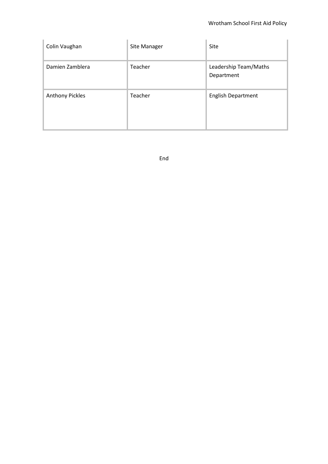| Colin Vaughan          | Site Manager | Site                                |
|------------------------|--------------|-------------------------------------|
| Damien Zamblera        | Teacher      | Leadership Team/Maths<br>Department |
| <b>Anthony Pickles</b> | Teacher      | <b>English Department</b>           |

End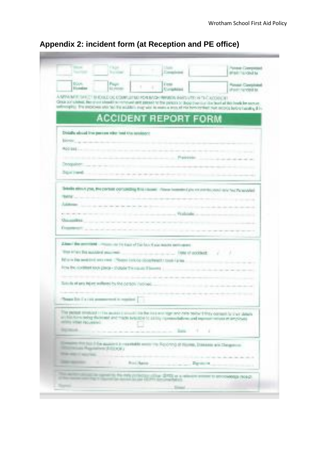|                                                                        | Fikipii.<br><b>Service</b>                                                 | Despite                                         |                                                                                                              | Paneke Georgeousl<br>ansicha cod ta                                                                                                                                                                                                                           |
|------------------------------------------------------------------------|----------------------------------------------------------------------------|-------------------------------------------------|--------------------------------------------------------------------------------------------------------------|---------------------------------------------------------------------------------------------------------------------------------------------------------------------------------------------------------------------------------------------------------------|
| EXUAL:<br><b>Elizabethen</b>                                           | <b>Page:</b><br>\$1,050,000                                                | E testa<br><b>Consekted</b>                     |                                                                                                              | <b>Royce Constraint</b><br>afrancounded to:                                                                                                                                                                                                                   |
|                                                                        |                                                                            |                                                 | A MPA MEETING TERRITOOL COMPLETED ROUBVISH WHICH SHELVES HE TIC ADDITION.                                    |                                                                                                                                                                                                                                                               |
|                                                                        |                                                                            |                                                 |                                                                                                              | Clean por silvered. Recomposition that the memorant care pairway for the parents or those process of an least of this levels be aversure.<br>whosels). The process was tell for activity and his manual trust of the benefit for necessary independent of its |
|                                                                        |                                                                            |                                                 | <b>ACCIDENT REPORT FORM</b>                                                                                  |                                                                                                                                                                                                                                                               |
|                                                                        |                                                                            |                                                 |                                                                                                              |                                                                                                                                                                                                                                                               |
|                                                                        | Divisible advised from parentees refer front O'as naturized to             |                                                 |                                                                                                              |                                                                                                                                                                                                                                                               |
| Electric Corp.                                                         |                                                                            |                                                 |                                                                                                              |                                                                                                                                                                                                                                                               |
| ROD-BEELL                                                              |                                                                            |                                                 |                                                                                                              |                                                                                                                                                                                                                                                               |
| Doctober <sub>1</sub>                                                  |                                                                            |                                                 | President                                                                                                    |                                                                                                                                                                                                                                                               |
| Justined.                                                              |                                                                            |                                                 |                                                                                                              |                                                                                                                                                                                                                                                               |
|                                                                        |                                                                            |                                                 |                                                                                                              |                                                                                                                                                                                                                                                               |
|                                                                        |                                                                            |                                                 | Briefe ethical part, the parties comparing this issues. (New homeon) pix interests cool in in the Paramoles' |                                                                                                                                                                                                                                                               |
| Baltimore, and a control                                               |                                                                            |                                                 |                                                                                                              |                                                                                                                                                                                                                                                               |
|                                                                        |                                                                            |                                                 | the common results of the common and company                                                                 |                                                                                                                                                                                                                                                               |
|                                                                        |                                                                            | Continued in the company of the Walshale, a co- |                                                                                                              |                                                                                                                                                                                                                                                               |
| University in<br><b>Commercial</b>                                     |                                                                            | the contract and contract and contract          |                                                                                                              |                                                                                                                                                                                                                                                               |
|                                                                        |                                                                            |                                                 |                                                                                                              |                                                                                                                                                                                                                                                               |
|                                                                        | Zime the permised companies in the last of the late it are made permisent. |                                                 |                                                                                                              |                                                                                                                                                                                                                                                               |
|                                                                        |                                                                            |                                                 | The ATAC Dis autobiol powered and contact the service of the University of Contact 1.                        |                                                                                                                                                                                                                                                               |
|                                                                        |                                                                            |                                                 |                                                                                                              |                                                                                                                                                                                                                                                               |
| Riform the perdited and rime. (Notes in local coop/treat to businizing |                                                                            |                                                 |                                                                                                              |                                                                                                                                                                                                                                                               |
|                                                                        |                                                                            |                                                 | For the continue took (1969 - 2000) 7 is sport Timmy                                                         |                                                                                                                                                                                                                                                               |
|                                                                        |                                                                            |                                                 |                                                                                                              |                                                                                                                                                                                                                                                               |
|                                                                        | Suite de entre le part politique (et les les partiens ) (entre les les     |                                                 |                                                                                                              |                                                                                                                                                                                                                                                               |
|                                                                        | Those DA CA (10) at announced in required [                                |                                                 |                                                                                                              |                                                                                                                                                                                                                                                               |
|                                                                        |                                                                            |                                                 |                                                                                                              |                                                                                                                                                                                                                                                               |
|                                                                        |                                                                            |                                                 | The parent resolute in the access parent in the lost one type and other below? They consent for their sheets |                                                                                                                                                                                                                                                               |
| <b>INTERNATIONAL PROJECTION CONTINUES.</b>                             |                                                                            |                                                 | produces the prime month from the conditions of 1111 / 9/2019 to have the based produced to the condition    |                                                                                                                                                                                                                                                               |
| <b>BUSINESS</b>                                                        |                                                                            |                                                 | <b>Barra</b><br>×<br>٠                                                                                       |                                                                                                                                                                                                                                                               |
|                                                                        |                                                                            |                                                 | Element Product Dia associate a reservable service to Resort of Normal, Danasca and Despite to               |                                                                                                                                                                                                                                                               |
| returning Higgstreet (LECOS)<br>the age is accordi-                    |                                                                            |                                                 |                                                                                                              |                                                                                                                                                                                                                                                               |
| <b>THE MOVED</b><br>٠                                                  | ٠                                                                          | Rock Raise                                      |                                                                                                              |                                                                                                                                                                                                                                                               |
|                                                                        |                                                                            |                                                 | Darstown,<br>Street in supported the rest performance of the 27% or a winning entered to processes a recent  |                                                                                                                                                                                                                                                               |

# **Appendix 2: incident form (at Reception and PE office)**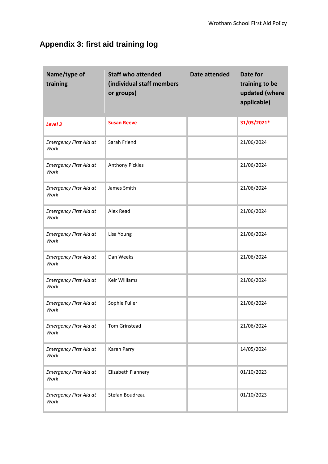# **Appendix 3: first aid training log**

| Name/type of<br>training              | <b>Staff who attended</b><br>(individual staff members<br>or groups) | Date attended | Date for<br>training to be<br>updated (where<br>applicable) |
|---------------------------------------|----------------------------------------------------------------------|---------------|-------------------------------------------------------------|
| Level 3                               | <b>Susan Reeve</b>                                                   |               | 31/03/2021*                                                 |
| <b>Emergency First Aid at</b><br>Work | Sarah Friend                                                         |               | 21/06/2024                                                  |
| <b>Emergency First Aid at</b><br>Work | <b>Anthony Pickles</b>                                               |               | 21/06/2024                                                  |
| <b>Emergency First Aid at</b><br>Work | James Smith                                                          |               | 21/06/2024                                                  |
| <b>Emergency First Aid at</b><br>Work | Alex Read                                                            |               | 21/06/2024                                                  |
| <b>Emergency First Aid at</b><br>Work | Lisa Young                                                           |               | 21/06/2024                                                  |
| <b>Emergency First Aid at</b><br>Work | Dan Weeks                                                            |               | 21/06/2024                                                  |
| <b>Emergency First Aid at</b><br>Work | <b>Keir Williams</b>                                                 |               | 21/06/2024                                                  |
| <b>Emergency First Aid at</b><br>Work | Sophie Fuller                                                        |               | 21/06/2024                                                  |
| <b>Emergency First Aid at</b><br>Work | <b>Tom Grinstead</b>                                                 |               | 21/06/2024                                                  |
| <b>Emergency First Aid at</b><br>Work | Karen Parry                                                          |               | 14/05/2024                                                  |
| <b>Emergency First Aid at</b><br>Work | Elizabeth Flannery                                                   |               | 01/10/2023                                                  |
| <b>Emergency First Aid at</b><br>Work | Stefan Boudreau                                                      |               | 01/10/2023                                                  |